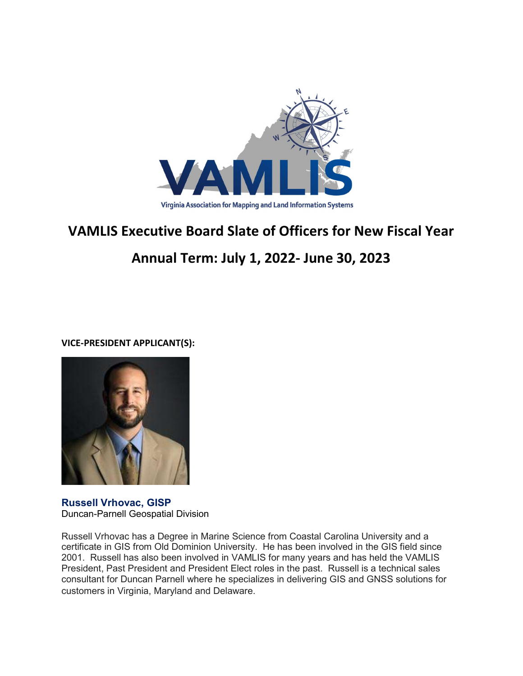

## VAMLIS Executive Board Slate of Officers for New Fiscal Year

## Annual Term: July 1, 2022- June 30, 2023

VICE-PRESIDENT APPLICANT(S):



Russell Vrhovac, GISP Duncan-Parnell Geospatial Division

Russell Vrhovac has a Degree in Marine Science from Coastal Carolina University and a certificate in GIS from Old Dominion University. He has been involved in the GIS field since 2001. Russell has also been involved in VAMLIS for many years and has held the VAMLIS President, Past President and President Elect roles in the past. Russell is a technical sales consultant for Duncan Parnell where he specializes in delivering GIS and GNSS solutions for customers in Virginia, Maryland and Delaware.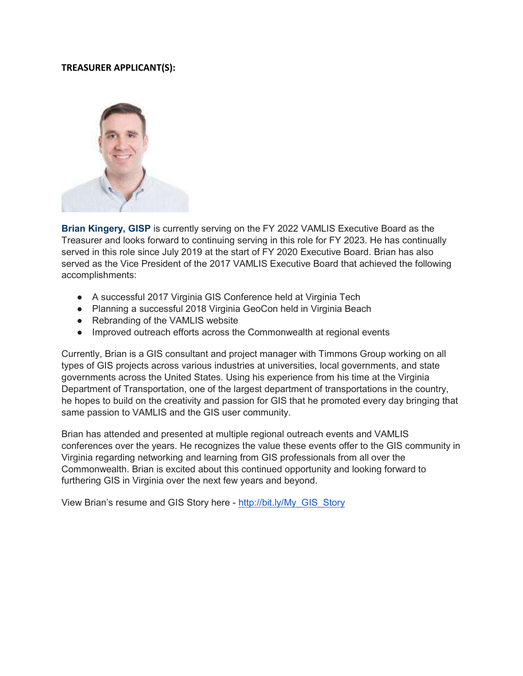## TREASURER APPLICANT(S):



Brian Kingery, GISP is currently serving on the FY 2022 VAMLIS Executive Board as the Treasurer and looks forward to continuing serving in this role for FY 2023. He has continually served in this role since July 2019 at the start of FY 2020 Executive Board. Brian has also served as the Vice President of the 2017 VAMLIS Executive Board that achieved the following accomplishments:

- A successful 2017 Virginia GIS Conference held at Virginia Tech
- Planning a successful 2018 Virginia GeoCon held in Virginia Beach
- Rebranding of the VAMLIS website
- Improved outreach efforts across the Commonwealth at regional events

Currently, Brian is a GIS consultant and project manager with Timmons Group working on all types of GIS projects across various industries at universities, local governments, and state governments across the United States. Using his experience from his time at the Virginia Department of Transportation, one of the largest department of transportations in the country, he hopes to build on the creativity and passion for GIS that he promoted every day bringing that same passion to VAMLIS and the GIS user community.

Brian has attended and presented at multiple regional outreach events and VAMLIS conferences over the years. He recognizes the value these events offer to the GIS community in Virginia regarding networking and learning from GIS professionals from all over the Commonwealth. Brian is excited about this continued opportunity and looking forward to furthering GIS in Virginia over the next few years and beyond.

View Brian's resume and GIS Story here - http://bit.ly/My\_GIS\_Story